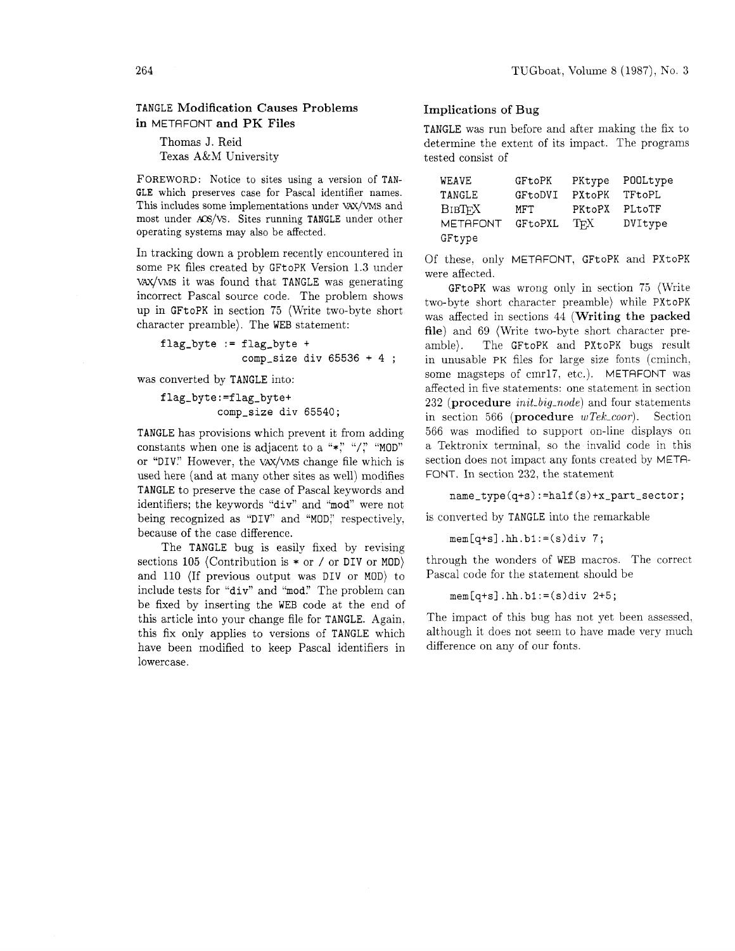## TANGLE Modification Causes Problems in METAFONT and PK Files

Thomas J. Reid Texas A&M University

FOREWORD: Notice to sites using a version of TAN-GLE which preserves case for Pascal identifier names. This includes some implementations under VAX/VMS and most under X6/VS. Sites running TANGLE under other operating systems may also be affected.

In tracking down a problem recently encountered in some PK files created by GFtoPK Version 1.3 under VAX/WS it was found that TANGLE was generating incorrect Pascal source code. The problem shows up in GFtoPK in section 75 (Write two-byte short character preamble). The WEB statement:

flag-byte := flag-byte + comp\_size div  $65536 + 4$ ;

was converted by TANGLE into:

flag-byte:=flag-byte+ comp-size div 65540;

TANGLE has provisions which prevent it from adding constants when one is adjacent to a " $\ast$ ," "/," "MOD" or "DIV." However, the VAX/VMS change file which is used here (and at many other sites as well) modifies TANGLE to preserve the case of Pascal keywords and identifiers; the keywords "div" and "mod" were not being recognized as "DIV" and "MOD;' respectively. because of the case difference.

The TANGLE bug is easily fixed by revising sections 105 (Contribution is  $*$  or / or DIV or MOD) and 110 (If previous output was DIV or MOD) to include tests for "div" and "mod." The problem can be fixed by inserting the WEB code at the end of this article into your change file for TANGLE. Again. this fix only applies to versions of TANGLE which have been modified to keep Pascal identifiers in lowercase.

## Implications of Bug

TANGLE was run before and after making the fix to determine the extent of its impact. The programs tested consist of

| <b>WEAVE</b>    | GFtoPK  | PKtype | POOLtype |
|-----------------|---------|--------|----------|
| TANGLE          | GFtoDVI | PXtoPK | TFtoPL   |
| <b>BIBTFX</b>   | MFT     | PKtoPX | PLtoTF   |
| <b>METAFONT</b> | GFtoPXL | TFX.   | DVItype  |
| GFtype          |         |        |          |

Of these. only METAFONT, GFtoPK and PXtoPK were affected.

GFtoPK was wrong only in section 75 (Write two-byte short character preamble) while PXtoPK was affected in sections 44 (Writing the packed file) and 69 (Write two-byte short character preamble). The GFtoPK and PXtoPK bugs result in unusable PK files for large size fonts (cminch, some magsteps of cmrl7, etc.). METAFONT was affected in five statements: one statement in section  $232$  (procedure *init<sub>-big-node*) and four statements</sub> in section 566 (procedure  $wTek\_coor$ ). Section 566 was modified to support on-line displays on a Tektronix terminal. so the invalid code in this section does not impact any fonts created by META-FONT. In section 232, the statement

## name\_type(q+s):=half(s)+x\_part\_sector;

is converted by TANGLE into the remarkable

 $mem[q+s]$ .hh.b1:= $(s)div 7;$ 

through the wonders of WEB macros. The correct Pascal code for the statement should be

```
mem[q+s].hh.b1:=(s)div 2+5;
```
The impact of this bug has not yet been assessed. although it does not seem to have made very much difference on any of our fonts.